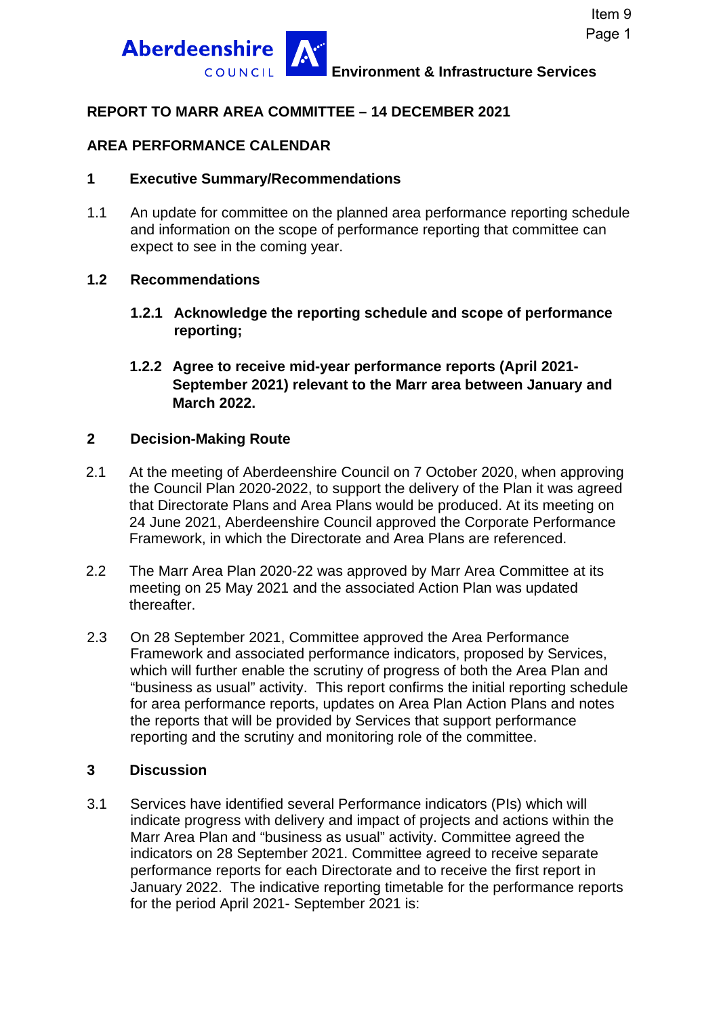

**Environment & Infrastructure Services**

### **REPORT TO MARR AREA COMMITTEE – 14 DECEMBER 2021**

### **AREA PERFORMANCE CALENDAR**

### **1 Executive Summary/Recommendations**

1.1 An update for committee on the planned area performance reporting schedule and information on the scope of performance reporting that committee can expect to see in the coming year.

### **1.2 Recommendations**

- **1.2.1 Acknowledge the reporting schedule and scope of performance reporting;**
- **1.2.2 Agree to receive mid-year performance reports (April 2021- September 2021) relevant to the Marr area between January and March 2022.**

### **2 Decision-Making Route**

- 2.1 At the meeting of Aberdeenshire Council on 7 October 2020, when approving the Council Plan 2020-2022, to support the delivery of the Plan it was agreed that Directorate Plans and Area Plans would be produced. At its meeting on 24 June 2021, Aberdeenshire Council approved the Corporate Performance Framework, in which the Directorate and Area Plans are referenced.
- 2.2 The Marr Area Plan 2020-22 was approved by Marr Area Committee at its meeting on 25 May 2021 and the associated Action Plan was updated thereafter.
- 2.3 On 28 September 2021, Committee approved the Area Performance Framework and associated performance indicators, proposed by Services, which will further enable the scrutiny of progress of both the Area Plan and "business as usual" activity. This report confirms the initial reporting schedule for area performance reports, updates on Area Plan Action Plans and notes the reports that will be provided by Services that support performance reporting and the scrutiny and monitoring role of the committee.

#### **3 Discussion**

3.1 Services have identified several Performance indicators (PIs) which will indicate progress with delivery and impact of projects and actions within the Marr Area Plan and "business as usual" activity. Committee agreed the indicators on 28 September 2021. Committee agreed to receive separate performance reports for each Directorate and to receive the first report in January 2022. The indicative reporting timetable for the performance reports for the period April 2021- September 2021 is: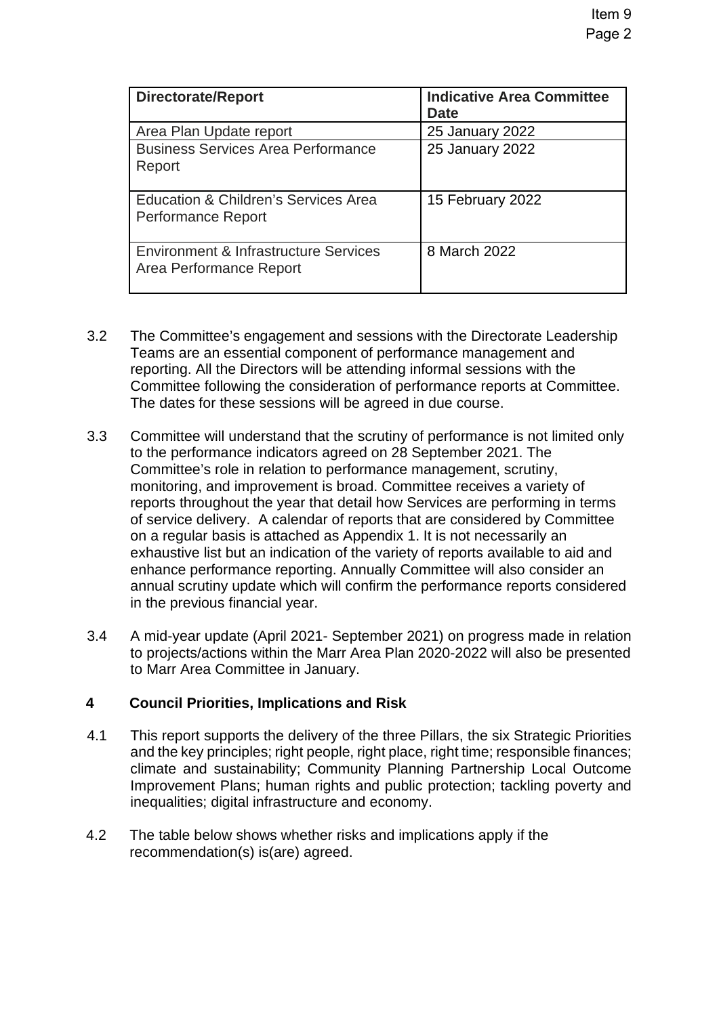| <b>Directorate/Report</b>                                         | <b>Indicative Area Committee</b><br><b>Date</b> |
|-------------------------------------------------------------------|-------------------------------------------------|
| Area Plan Update report                                           | 25 January 2022                                 |
| <b>Business Services Area Performance</b><br>Report               | 25 January 2022                                 |
| Education & Children's Services Area<br><b>Performance Report</b> | 15 February 2022                                |
| Environment & Infrastructure Services<br>Area Performance Report  | 8 March 2022                                    |

- 3.2 The Committee's engagement and sessions with the Directorate Leadership Teams are an essential component of performance management and reporting. All the Directors will be attending informal sessions with the Committee following the consideration of performance reports at Committee. The dates for these sessions will be agreed in due course.
- 3.3 Committee will understand that the scrutiny of performance is not limited only to the performance indicators agreed on 28 September 2021. The Committee's role in relation to performance management, scrutiny, monitoring, and improvement is broad. Committee receives a variety of reports throughout the year that detail how Services are performing in terms of service delivery. A calendar of reports that are considered by Committee on a regular basis is attached as Appendix 1. It is not necessarily an exhaustive list but an indication of the variety of reports available to aid and enhance performance reporting. Annually Committee will also consider an annual scrutiny update which will confirm the performance reports considered in the previous financial year.
- 3.4 A mid-year update (April 2021- September 2021) on progress made in relation to projects/actions within the Marr Area Plan 2020-2022 will also be presented to Marr Area Committee in January.

# **4 Council Priorities, Implications and Risk**

- 4.1 This report supports the delivery of the three Pillars, the six Strategic Priorities and the key principles; right people, right place, right time; responsible finances; climate and sustainability; Community Planning Partnership Local Outcome Improvement Plans; human rights and public protection; tackling poverty and inequalities; digital infrastructure and economy.
- 4.2 The table below shows whether risks and implications apply if the recommendation(s) is(are) agreed.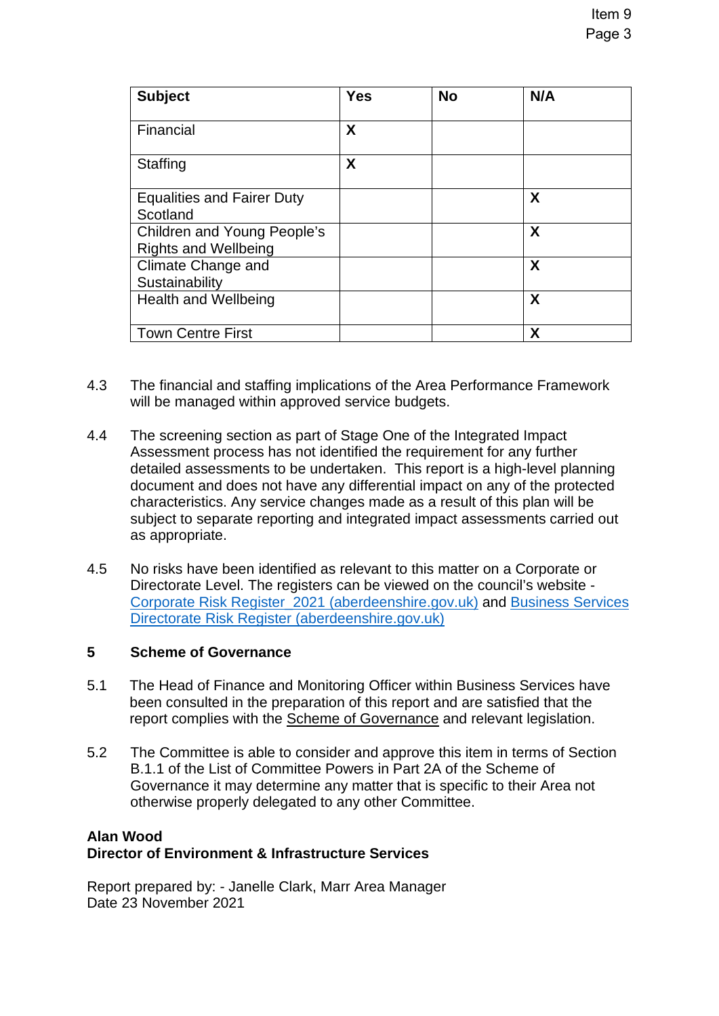| <b>Subject</b>                                             | <b>Yes</b> | <b>No</b> | N/A                       |
|------------------------------------------------------------|------------|-----------|---------------------------|
| Financial                                                  | X          |           |                           |
| <b>Staffing</b>                                            | X          |           |                           |
| <b>Equalities and Fairer Duty</b><br>Scotland              |            |           | $\boldsymbol{\mathsf{X}}$ |
| Children and Young People's<br><b>Rights and Wellbeing</b> |            |           | $\boldsymbol{X}$          |
| Climate Change and<br>Sustainability                       |            |           | X                         |
| <b>Health and Wellbeing</b>                                |            |           | X                         |
| <b>Town Centre First</b>                                   |            |           | Χ                         |

- 4.3 The financial and staffing implications of the Area Performance Framework will be managed within approved service budgets.
- 4.4 The screening section as part of Stage One of the Integrated Impact Assessment process has not identified the requirement for any further detailed assessments to be undertaken. This report is a high-level planning document and does not have any differential impact on any of the protected characteristics. Any service changes made as a result of this plan will be subject to separate reporting and integrated impact assessments carried out as appropriate.
- 4.5 No risks have been identified as relevant to this matter on a Corporate or Directorate Level. The registers can be viewed on the council's website - [Corporate Risk Register\\_2021 \(aberdeenshire.gov.uk\)](https://www.aberdeenshire.gov.uk/media/26308/corporaterisks.pdf) and [Business Services](https://www.aberdeenshire.gov.uk/media/26309/directoraterisks.pdf)  [Directorate Risk Register \(aberdeenshire.gov.uk\)](https://www.aberdeenshire.gov.uk/media/26309/directoraterisks.pdf)

### **5 Scheme of Governance**

- 5.1 The Head of Finance and Monitoring Officer within Business Services have been consulted in the preparation of this report and are satisfied that the report complies with the [Scheme of Governance](https://www.aberdeenshire.gov.uk/council-and-democracy/scheme-of-governance/) and relevant legislation.
- 5.2 The Committee is able to consider and approve this item in terms of Section B.1.1 of the List of Committee Powers in Part 2A of the Scheme of Governance it may determine any matter that is specific to their Area not otherwise properly delegated to any other Committee.

# **Alan Wood Director of Environment & Infrastructure Services**

Report prepared by: - Janelle Clark, Marr Area Manager Date 23 November 2021